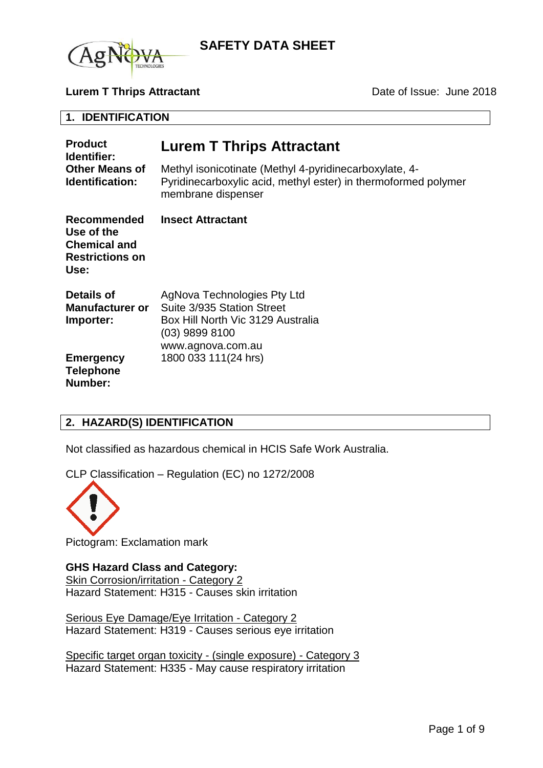

#### **Lurem T Thrips Attractant Date of Issue: June 2018**

#### **1. IDENTIFICATION**

| <b>Product</b><br>Identifier:<br><b>Other Means of</b><br><b>Identification:</b>          | <b>Lurem T Thrips Attractant</b>                                                                                                               |  |
|-------------------------------------------------------------------------------------------|------------------------------------------------------------------------------------------------------------------------------------------------|--|
|                                                                                           | Methyl isonicotinate (Methyl 4-pyridinecarboxylate, 4-<br>Pyridinecarboxylic acid, methyl ester) in thermoformed polymer<br>membrane dispenser |  |
| <b>Recommended</b><br>Use of the<br><b>Chemical and</b><br><b>Restrictions on</b><br>Use: | <b>Insect Attractant</b>                                                                                                                       |  |
| Details of<br><b>Manufacturer or</b><br>Importer:                                         | AgNova Technologies Pty Ltd<br>Suite 3/935 Station Street<br>Box Hill North Vic 3129 Australia<br>$(03)$ 9899 8100<br>www.agnova.com.au        |  |
| <b>Emergency</b><br><b>Telephone</b><br>Number:                                           | 1800 033 111(24 hrs)                                                                                                                           |  |

## **2. HAZARD(S) IDENTIFICATION**

Not classified as hazardous chemical in HCIS Safe Work Australia.

CLP Classification – Regulation (EC) no 1272/2008



Pictogram: Exclamation mark

#### **GHS Hazard Class and Category:**

Skin Corrosion/irritation - Category 2 Hazard Statement: H315 - Causes skin irritation

Serious Eye Damage/Eye Irritation - Category 2 Hazard Statement: H319 - Causes serious eye irritation

Specific target organ toxicity - (single exposure) - Category 3 Hazard Statement: H335 - May cause respiratory irritation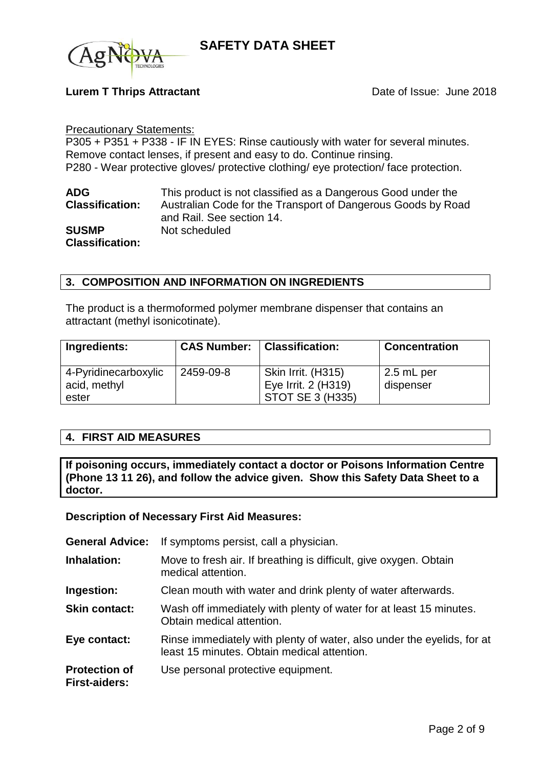

## **Lurem T Thrips Attractant Date of Issue: June 2018**

#### Precautionary Statements:

P305 + P351 + P338 - IF IN EYES: Rinse cautiously with water for several minutes. Remove contact lenses, if present and easy to do. Continue rinsing. P280 - Wear protective gloves/ protective clothing/ eye protection/ face protection.

| <b>ADG</b>             | This product is not classified as a Dangerous Good under the |
|------------------------|--------------------------------------------------------------|
| <b>Classification:</b> | Australian Code for the Transport of Dangerous Goods by Road |
|                        | and Rail. See section 14.                                    |
| <b>SUSMP</b>           | Not scheduled                                                |
| <b>Classification:</b> |                                                              |

## **3. COMPOSITION AND INFORMATION ON INGREDIENTS**

The product is a thermoformed polymer membrane dispenser that contains an attractant (methyl isonicotinate).

| Ingredients:                         |           | <b>CAS Number:   Classification:</b>      | <b>Concentration</b>    |
|--------------------------------------|-----------|-------------------------------------------|-------------------------|
| 4-Pyridinecarboxylic<br>acid, methyl | 2459-09-8 | Skin Irrit. (H315)<br>Eye Irrit. 2 (H319) | 2.5 mL per<br>dispenser |
| ester                                |           | <b>STOT SE 3 (H335)</b>                   |                         |

## **4. FIRST AID MEASURES**

**If poisoning occurs, immediately contact a doctor or Poisons Information Centre (Phone 13 11 26), and follow the advice given. Show this Safety Data Sheet to a doctor.**

#### **Description of Necessary First Aid Measures:**

| <b>General Advice:</b>                       | If symptoms persist, call a physician.                                                                                |
|----------------------------------------------|-----------------------------------------------------------------------------------------------------------------------|
| Inhalation:                                  | Move to fresh air. If breathing is difficult, give oxygen. Obtain<br>medical attention.                               |
| Ingestion:                                   | Clean mouth with water and drink plenty of water afterwards.                                                          |
| <b>Skin contact:</b>                         | Wash off immediately with plenty of water for at least 15 minutes.<br>Obtain medical attention.                       |
| Eye contact:                                 | Rinse immediately with plenty of water, also under the eyelids, for at<br>least 15 minutes. Obtain medical attention. |
| <b>Protection of</b><br><b>First-aiders:</b> | Use personal protective equipment.                                                                                    |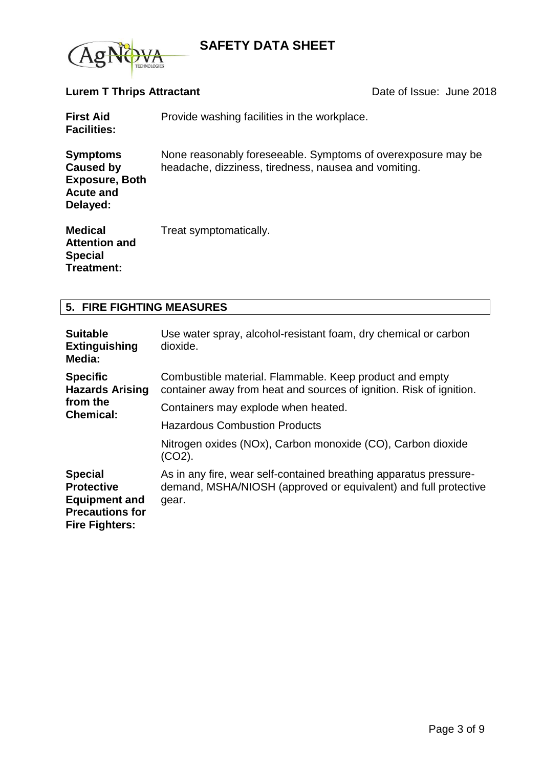

# **Lurem T Thrips Attractant Date of Issue: June 2018**

| <b>First Aid</b><br><b>Facilities:</b>                                                | Provide washing facilities in the workplace.                                                                         |
|---------------------------------------------------------------------------------------|----------------------------------------------------------------------------------------------------------------------|
| <b>Symptoms</b><br>Caused by<br><b>Exposure, Both</b><br><b>Acute and</b><br>Delayed: | None reasonably foreseeable. Symptoms of overexposure may be<br>headache, dizziness, tiredness, nausea and vomiting. |
| <b>Medical</b><br><b>Attention and</b><br><b>Special</b>                              | Treat symptomatically.                                                                                               |

# **5. FIRE FIGHTING MEASURES**

**Treatment:**

| <b>Suitable</b><br><b>Extinguishing</b><br>Media:                                                              | Use water spray, alcohol-resistant foam, dry chemical or carbon<br>dioxide.                                                                   |
|----------------------------------------------------------------------------------------------------------------|-----------------------------------------------------------------------------------------------------------------------------------------------|
| <b>Specific</b><br><b>Hazards Arising</b><br>from the<br><b>Chemical:</b>                                      | Combustible material. Flammable. Keep product and empty<br>container away from heat and sources of ignition. Risk of ignition.                |
|                                                                                                                | Containers may explode when heated.                                                                                                           |
|                                                                                                                | <b>Hazardous Combustion Products</b>                                                                                                          |
|                                                                                                                | Nitrogen oxides (NOx), Carbon monoxide (CO), Carbon dioxide<br>(CO2).                                                                         |
| <b>Special</b><br><b>Protective</b><br><b>Equipment and</b><br><b>Precautions for</b><br><b>Fire Fighters:</b> | As in any fire, wear self-contained breathing apparatus pressure-<br>demand, MSHA/NIOSH (approved or equivalent) and full protective<br>gear. |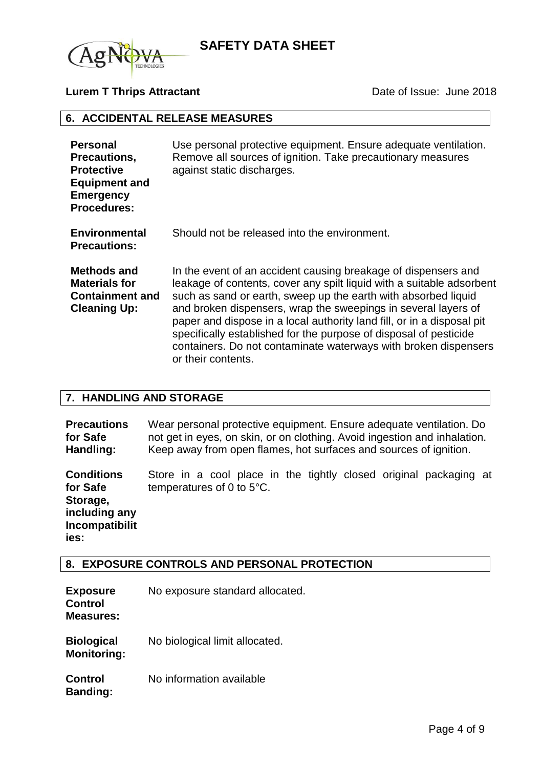

## **Lurem T Thrips Attractant Date of Issue: June 2018**

#### **6. ACCIDENTAL RELEASE MEASURES**

| <b>Personal</b><br>Precautions,<br><b>Protective</b><br><b>Equipment and</b><br><b>Emergency</b><br><b>Procedures:</b> | Use personal protective equipment. Ensure adequate ventilation.<br>Remove all sources of ignition. Take precautionary measures<br>against static discharges.                                                                                                                                                                                                                                                                                                                                                        |
|------------------------------------------------------------------------------------------------------------------------|---------------------------------------------------------------------------------------------------------------------------------------------------------------------------------------------------------------------------------------------------------------------------------------------------------------------------------------------------------------------------------------------------------------------------------------------------------------------------------------------------------------------|
| <b>Environmental</b><br><b>Precautions:</b>                                                                            | Should not be released into the environment.                                                                                                                                                                                                                                                                                                                                                                                                                                                                        |
| Methods and<br><b>Materials for</b><br><b>Containment and</b><br><b>Cleaning Up:</b>                                   | In the event of an accident causing breakage of dispensers and<br>leakage of contents, cover any spilt liquid with a suitable adsorbent<br>such as sand or earth, sweep up the earth with absorbed liquid<br>and broken dispensers, wrap the sweepings in several layers of<br>paper and dispose in a local authority land fill, or in a disposal pit<br>specifically established for the purpose of disposal of pesticide<br>containers. Do not contaminate waterways with broken dispensers<br>or their contents. |

#### **7. HANDLING AND STORAGE**

**Precautions for Safe Handling:** Wear personal protective equipment. Ensure adequate ventilation. Do not get in eyes, on skin, or on clothing. Avoid ingestion and inhalation. Keep away from open flames, hot surfaces and sources of ignition.

**Conditions for Safe Storage, including any Incompatibilit ies:** Store in a cool place in the tightly closed original packaging at temperatures of 0 to 5°C.

## **8. EXPOSURE CONTROLS AND PERSONAL PROTECTION**

| <b>Exposure</b><br><b>Control</b><br><b>Measures:</b> | No exposure standard allocated. |
|-------------------------------------------------------|---------------------------------|
| <b>Biological</b><br><b>Monitoring:</b>               | No biological limit allocated.  |
| <b>Control</b><br><b>Banding:</b>                     | No information available        |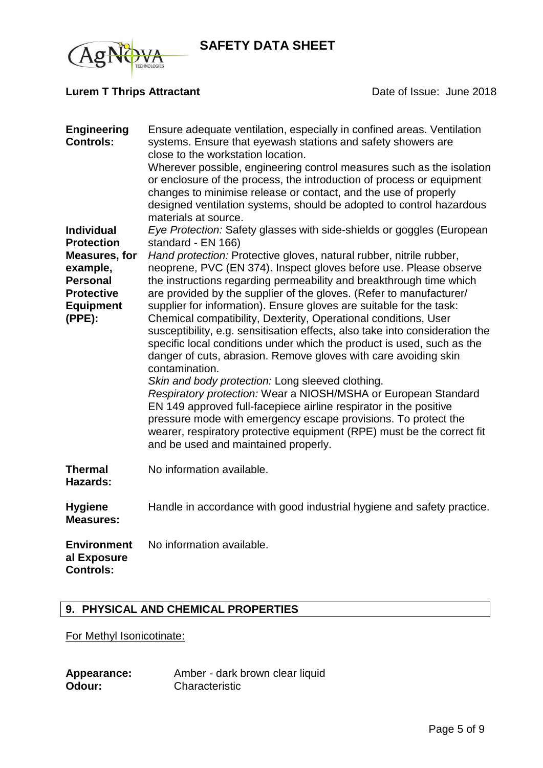## **Lurem T Thrips Attractant Date of Issue: June 2018**

| <b>Engineering</b><br><b>Controls:</b><br><b>Individual</b><br><b>Protection</b><br><b>Measures, for</b><br>example,<br><b>Personal</b><br><b>Protective</b><br><b>Equipment</b><br>(PPE): | Ensure adequate ventilation, especially in confined areas. Ventilation<br>systems. Ensure that eyewash stations and safety showers are<br>close to the workstation location.<br>Wherever possible, engineering control measures such as the isolation<br>or enclosure of the process, the introduction of process or equipment<br>changes to minimise release or contact, and the use of properly<br>designed ventilation systems, should be adopted to control hazardous<br>materials at source.<br>Eye Protection: Safety glasses with side-shields or goggles (European<br>standard - EN 166)<br>Hand protection: Protective gloves, natural rubber, nitrile rubber,<br>neoprene, PVC (EN 374). Inspect gloves before use. Please observe<br>the instructions regarding permeability and breakthrough time which<br>are provided by the supplier of the gloves. (Refer to manufacturer/<br>supplier for information). Ensure gloves are suitable for the task:<br>Chemical compatibility, Dexterity, Operational conditions, User<br>susceptibility, e.g. sensitisation effects, also take into consideration the<br>specific local conditions under which the product is used, such as the<br>danger of cuts, abrasion. Remove gloves with care avoiding skin<br>contamination.<br>Skin and body protection: Long sleeved clothing.<br>Respiratory protection: Wear a NIOSH/MSHA or European Standard<br>EN 149 approved full-facepiece airline respirator in the positive<br>pressure mode with emergency escape provisions. To protect the<br>wearer, respiratory protective equipment (RPE) must be the correct fit<br>and be used and maintained properly. |
|--------------------------------------------------------------------------------------------------------------------------------------------------------------------------------------------|--------------------------------------------------------------------------------------------------------------------------------------------------------------------------------------------------------------------------------------------------------------------------------------------------------------------------------------------------------------------------------------------------------------------------------------------------------------------------------------------------------------------------------------------------------------------------------------------------------------------------------------------------------------------------------------------------------------------------------------------------------------------------------------------------------------------------------------------------------------------------------------------------------------------------------------------------------------------------------------------------------------------------------------------------------------------------------------------------------------------------------------------------------------------------------------------------------------------------------------------------------------------------------------------------------------------------------------------------------------------------------------------------------------------------------------------------------------------------------------------------------------------------------------------------------------------------------------------------------------------------------------------------------------------|
| <b>Thermal</b><br>Hazards:                                                                                                                                                                 | No information available.                                                                                                                                                                                                                                                                                                                                                                                                                                                                                                                                                                                                                                                                                                                                                                                                                                                                                                                                                                                                                                                                                                                                                                                                                                                                                                                                                                                                                                                                                                                                                                                                                                          |
| <b>Hygiene</b><br><b>Measures:</b>                                                                                                                                                         | Handle in accordance with good industrial hygiene and safety practice.                                                                                                                                                                                                                                                                                                                                                                                                                                                                                                                                                                                                                                                                                                                                                                                                                                                                                                                                                                                                                                                                                                                                                                                                                                                                                                                                                                                                                                                                                                                                                                                             |
| <b>Environment</b><br>al Exposure<br><b>Controls:</b>                                                                                                                                      | No information available.                                                                                                                                                                                                                                                                                                                                                                                                                                                                                                                                                                                                                                                                                                                                                                                                                                                                                                                                                                                                                                                                                                                                                                                                                                                                                                                                                                                                                                                                                                                                                                                                                                          |

## **9. PHYSICAL AND CHEMICAL PROPERTIES**

For Methyl Isonicotinate:

| Appearance: | Amber - dark brown clear liquid |
|-------------|---------------------------------|
| Odour:      | Characteristic                  |

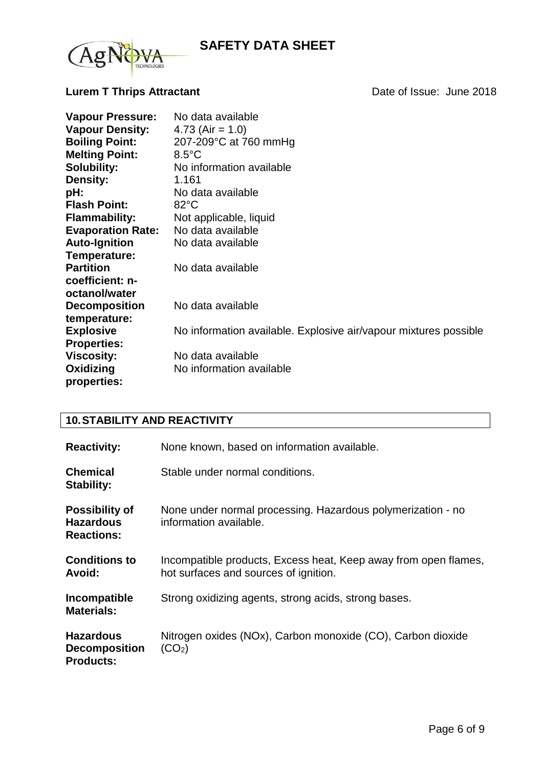

# **Lurem T Thrips Attractant Date of Issue: June 2018**

| <b>Vapour Pressure:</b>  | No data available                                                |
|--------------------------|------------------------------------------------------------------|
| <b>Vapour Density:</b>   | 4.73 (Air = $1.0$ )                                              |
| <b>Boiling Point:</b>    | 207-209°C at 760 mmHg                                            |
| <b>Melting Point:</b>    | $8.5^{\circ}$ C                                                  |
| <b>Solubility:</b>       | No information available                                         |
| <b>Density:</b>          | 1.161                                                            |
| pH:                      | No data available                                                |
| <b>Flash Point:</b>      | $82^{\circ}$ C                                                   |
| <b>Flammability:</b>     | Not applicable, liquid                                           |
| <b>Evaporation Rate:</b> | No data available                                                |
| <b>Auto-Ignition</b>     | No data available                                                |
| Temperature:             |                                                                  |
| <b>Partition</b>         | No data available                                                |
| coefficient: n-          |                                                                  |
| octanol/water            |                                                                  |
| <b>Decomposition</b>     | No data available                                                |
| temperature:             |                                                                  |
| <b>Explosive</b>         | No information available. Explosive air/vapour mixtures possible |
| <b>Properties:</b>       |                                                                  |
| <b>Viscosity:</b>        | No data available                                                |
| Oxidizing                | No information available                                         |
| properties:              |                                                                  |

# **10.STABILITY AND REACTIVITY**

| <b>Reactivity:</b>                                             | None known, based on information available.                                                              |
|----------------------------------------------------------------|----------------------------------------------------------------------------------------------------------|
| <b>Chemical</b><br><b>Stability:</b>                           | Stable under normal conditions.                                                                          |
| <b>Possibility of</b><br><b>Hazardous</b><br><b>Reactions:</b> | None under normal processing. Hazardous polymerization - no<br>information available.                    |
| <b>Conditions to</b><br>Avoid:                                 | Incompatible products, Excess heat, Keep away from open flames,<br>hot surfaces and sources of ignition. |
| Incompatible<br><b>Materials:</b>                              | Strong oxidizing agents, strong acids, strong bases.                                                     |
| <b>Hazardous</b><br><b>Decomposition</b><br><b>Products:</b>   | Nitrogen oxides (NOx), Carbon monoxide (CO), Carbon dioxide<br>(CO <sub>2</sub> )                        |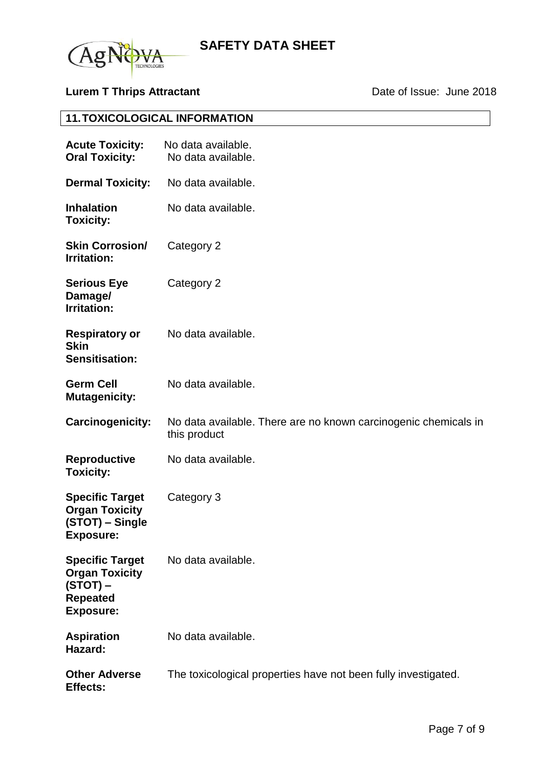

# **Lurem T Thrips Attractant Date of Issue: June 2018**

# **11.TOXICOLOGICAL INFORMATION**

| <b>Acute Toxicity:</b><br><b>Oral Toxicity:</b>                                                      | No data available.<br>No data available.                                        |
|------------------------------------------------------------------------------------------------------|---------------------------------------------------------------------------------|
| <b>Dermal Toxicity:</b>                                                                              | No data available.                                                              |
| <b>Inhalation</b><br><b>Toxicity:</b>                                                                | No data available.                                                              |
| <b>Skin Corrosion/</b><br><b>Irritation:</b>                                                         | Category 2                                                                      |
| <b>Serious Eye</b><br>Damage/<br><b>Irritation:</b>                                                  | Category 2                                                                      |
| <b>Respiratory or</b><br><b>Skin</b><br><b>Sensitisation:</b>                                        | No data available.                                                              |
| <b>Germ Cell</b><br><b>Mutagenicity:</b>                                                             | No data available.                                                              |
| Carcinogenicity:                                                                                     | No data available. There are no known carcinogenic chemicals in<br>this product |
| <b>Reproductive</b><br><b>Toxicity:</b>                                                              | No data available.                                                              |
| <b>Specific Target</b><br><b>Organ Toxicity</b><br>(STOT) – Single<br><b>Exposure:</b>               | Category 3                                                                      |
| <b>Specific Target</b><br><b>Organ Toxicity</b><br>$(STOT)$ –<br><b>Repeated</b><br><b>Exposure:</b> | No data available.                                                              |
| <b>Aspiration</b><br>Hazard:                                                                         | No data available.                                                              |
| <b>Other Adverse</b><br><b>Effects:</b>                                                              | The toxicological properties have not been fully investigated.                  |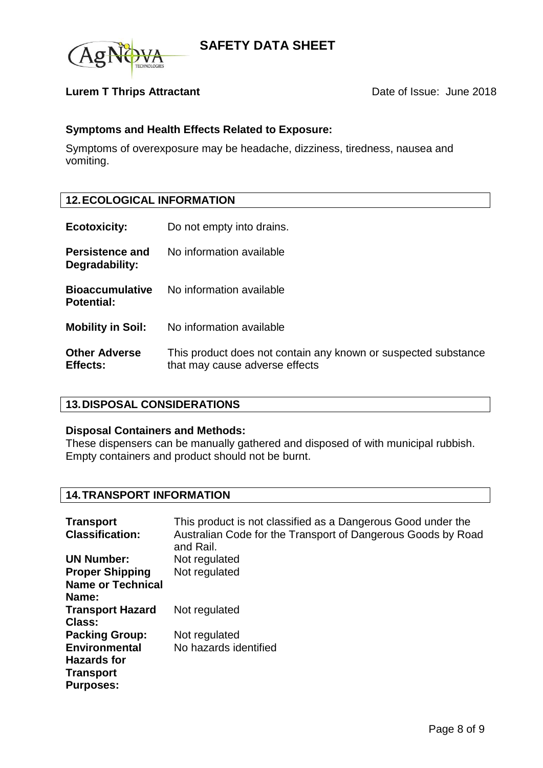

## **Lurem T Thrips Attractant Date of Issue: June 2018**

## **Symptoms and Health Effects Related to Exposure:**

Symptoms of overexposure may be headache, dizziness, tiredness, nausea and vomiting.

## **12.ECOLOGICAL INFORMATION**

- **Ecotoxicity:** Do not empty into drains.
- **Persistence and Degradability:** No information available **Bioaccumulative**  No information available
- **Potential:**
- **Mobility in Soil:** No information available
- **Other Adverse Effects:** This product does not contain any known or suspected substance that may cause adverse effects

## **13.DISPOSAL CONSIDERATIONS**

#### **Disposal Containers and Methods:**

These dispensers can be manually gathered and disposed of with municipal rubbish. Empty containers and product should not be burnt.

## **14.TRANSPORT INFORMATION**

| <b>Transport</b>         | This product is not classified as a Dangerous Good under the              |
|--------------------------|---------------------------------------------------------------------------|
| <b>Classification:</b>   | Australian Code for the Transport of Dangerous Goods by Road<br>and Rail. |
| <b>UN Number:</b>        | Not regulated                                                             |
| <b>Proper Shipping</b>   | Not regulated                                                             |
| <b>Name or Technical</b> |                                                                           |
| Name:                    |                                                                           |
| <b>Transport Hazard</b>  | Not regulated                                                             |
| <b>Class:</b>            |                                                                           |
| <b>Packing Group:</b>    | Not regulated                                                             |
| <b>Environmental</b>     | No hazards identified                                                     |
| <b>Hazards for</b>       |                                                                           |
| <b>Transport</b>         |                                                                           |
| <b>Purposes:</b>         |                                                                           |